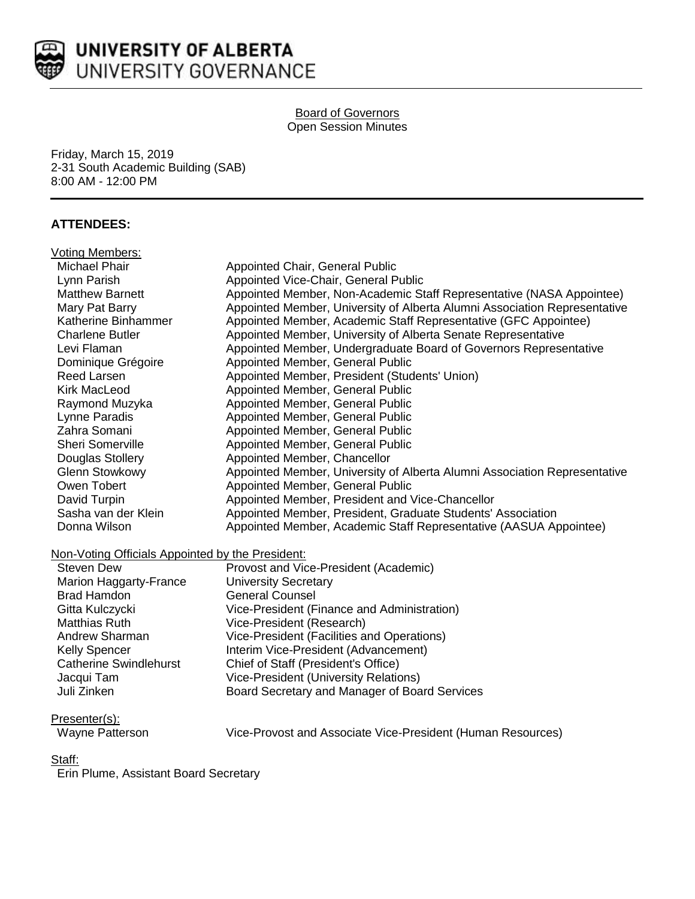

# UNIVERSITY OF ALBERTA UNIVERSITY GOVERNANCE

#### Board of Governors Open Session Minutes

Friday, March 15, 2019 2-31 South Academic Building (SAB) 8:00 AM - 12:00 PM

# **ATTENDEES:**

| Voting Members:                                  |                                                                           |
|--------------------------------------------------|---------------------------------------------------------------------------|
| <b>Michael Phair</b>                             | Appointed Chair, General Public                                           |
| Lynn Parish                                      | Appointed Vice-Chair, General Public                                      |
| <b>Matthew Barnett</b>                           | Appointed Member, Non-Academic Staff Representative (NASA Appointee)      |
| Mary Pat Barry                                   | Appointed Member, University of Alberta Alumni Association Representative |
| Katherine Binhammer                              | Appointed Member, Academic Staff Representative (GFC Appointee)           |
| <b>Charlene Butler</b>                           | Appointed Member, University of Alberta Senate Representative             |
| Levi Flaman                                      | Appointed Member, Undergraduate Board of Governors Representative         |
| Dominique Grégoire                               | Appointed Member, General Public                                          |
| <b>Reed Larsen</b>                               | Appointed Member, President (Students' Union)                             |
| <b>Kirk MacLeod</b>                              | Appointed Member, General Public                                          |
| Raymond Muzyka                                   | Appointed Member, General Public                                          |
| Lynne Paradis                                    | Appointed Member, General Public                                          |
| Zahra Somani                                     | Appointed Member, General Public                                          |
| Sheri Somerville                                 | Appointed Member, General Public                                          |
| Douglas Stollery                                 | Appointed Member, Chancellor                                              |
| <b>Glenn Stowkowy</b>                            | Appointed Member, University of Alberta Alumni Association Representative |
| Owen Tobert                                      | Appointed Member, General Public                                          |
| David Turpin                                     | Appointed Member, President and Vice-Chancellor                           |
| Sasha van der Klein                              | Appointed Member, President, Graduate Students' Association               |
| Donna Wilson                                     | Appointed Member, Academic Staff Representative (AASUA Appointee)         |
| Non-Voting Officials Appointed by the President: |                                                                           |
| <b>Steven Dew</b>                                | Provost and Vice-President (Academic)                                     |
| Marion Haggarty-France                           | <b>University Secretary</b>                                               |
| <b>Brad Hamdon</b>                               | <b>General Counsel</b>                                                    |
| Gitta Kulczycki                                  | Vice-President (Finance and Administration)                               |
| <b>Matthias Ruth</b>                             | Vice-President (Research)                                                 |
| Andrew Sharman                                   | Vice-President (Facilities and Operations)                                |
| <b>Kelly Spencer</b>                             | Interim Vice-President (Advancement)                                      |
| <b>Catherine Swindlehurst</b>                    | Chief of Staff (President's Office)                                       |
| Jacqui Tam                                       | <b>Vice-President (University Relations)</b>                              |
| Juli Zinken                                      | Board Secretary and Manager of Board Services                             |

Presenter(s):

| Wavne Patterson |
|-----------------|
|                 |

lyne Patterson **Wice-Provost and Associate Vice-President (Human Resources)** 

## Staff:

Erin Plume, Assistant Board Secretary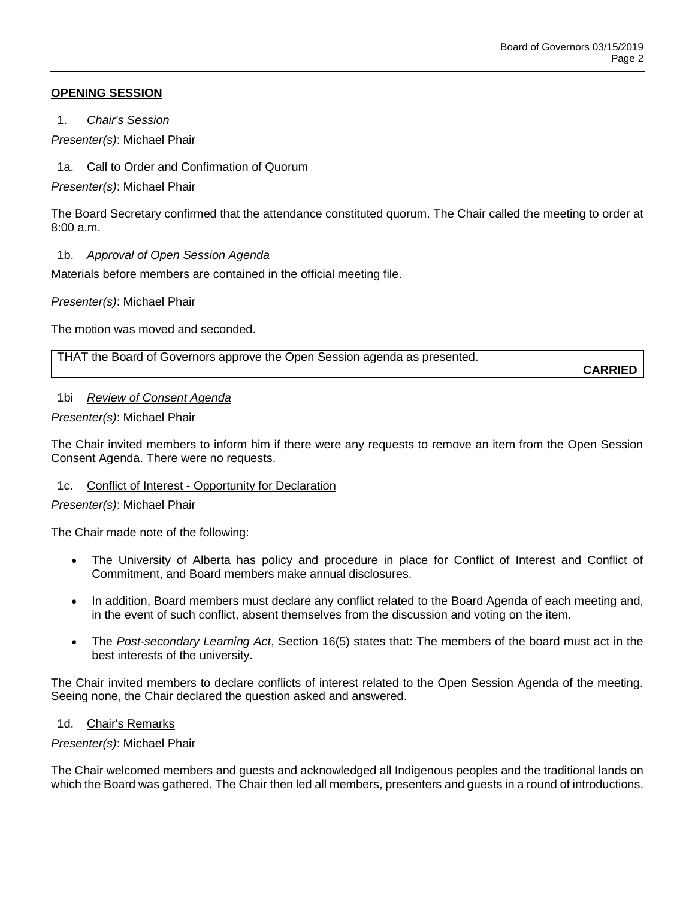# **OPENING SESSION**

1. *Chair's Session*

*Presenter(s)*: Michael Phair

1a. Call to Order and Confirmation of Quorum

*Presenter(s)*: Michael Phair

The Board Secretary confirmed that the attendance constituted quorum. The Chair called the meeting to order at  $8:00a \, m$ 

# 1b. *Approval of Open Session Agenda*

Materials before members are contained in the official meeting file.

*Presenter(s)*: Michael Phair

The motion was moved and seconded.

THAT the Board of Governors approve the Open Session agenda as presented.

**CARRIED**

## 1bi *Review of Consent Agenda*

*Presenter(s)*: Michael Phair

The Chair invited members to inform him if there were any requests to remove an item from the Open Session Consent Agenda. There were no requests.

## 1c. Conflict of Interest - Opportunity for Declaration

## *Presenter(s)*: Michael Phair

The Chair made note of the following:

- The University of Alberta has policy and procedure in place for Conflict of Interest and Conflict of Commitment, and Board members make annual disclosures.
- In addition, Board members must declare any conflict related to the Board Agenda of each meeting and, in the event of such conflict, absent themselves from the discussion and voting on the item.
- The *Post-secondary Learning Act*, Section 16(5) states that: The members of the board must act in the best interests of the university.

The Chair invited members to declare conflicts of interest related to the Open Session Agenda of the meeting. Seeing none, the Chair declared the question asked and answered.

## 1d. Chair's Remarks

## *Presenter(s)*: Michael Phair

The Chair welcomed members and guests and acknowledged all Indigenous peoples and the traditional lands on which the Board was gathered. The Chair then led all members, presenters and guests in a round of introductions.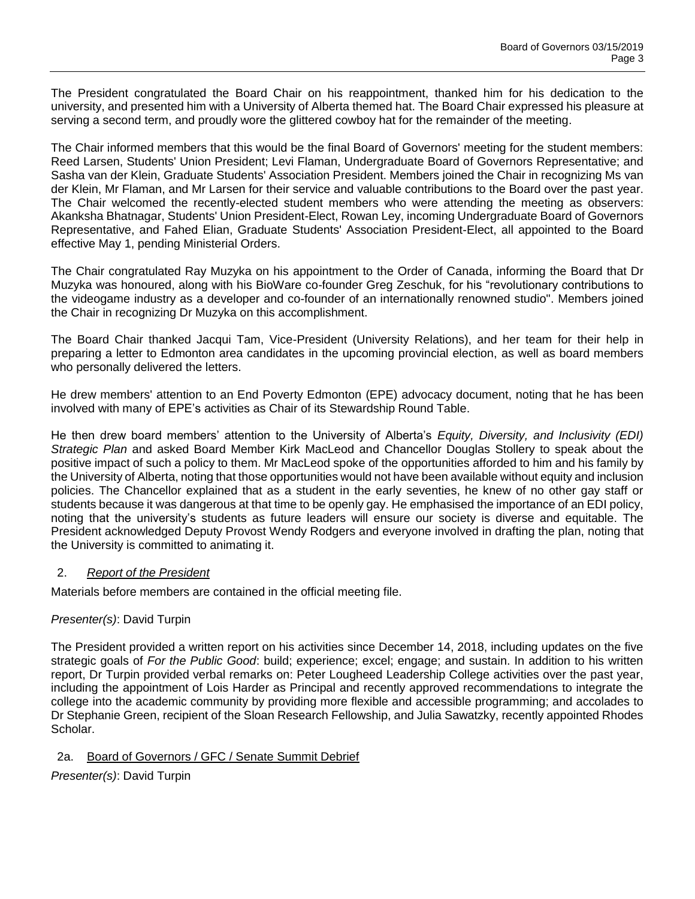The President congratulated the Board Chair on his reappointment, thanked him for his dedication to the university, and presented him with a University of Alberta themed hat. The Board Chair expressed his pleasure at serving a second term, and proudly wore the glittered cowboy hat for the remainder of the meeting.

The Chair informed members that this would be the final Board of Governors' meeting for the student members: Reed Larsen, Students' Union President; Levi Flaman, Undergraduate Board of Governors Representative; and Sasha van der Klein, Graduate Students' Association President. Members joined the Chair in recognizing Ms van der Klein, Mr Flaman, and Mr Larsen for their service and valuable contributions to the Board over the past year. The Chair welcomed the recently-elected student members who were attending the meeting as observers: Akanksha Bhatnagar, Students' Union President-Elect, Rowan Ley, incoming Undergraduate Board of Governors Representative, and Fahed Elian, Graduate Students' Association President-Elect, all appointed to the Board effective May 1, pending Ministerial Orders.

The Chair congratulated Ray Muzyka on his appointment to the Order of Canada, informing the Board that Dr Muzyka was honoured, along with his BioWare co-founder Greg Zeschuk, for his "revolutionary contributions to the videogame industry as a developer and co-founder of an internationally renowned studio". Members joined the Chair in recognizing Dr Muzyka on this accomplishment.

The Board Chair thanked Jacqui Tam, Vice-President (University Relations), and her team for their help in preparing a letter to Edmonton area candidates in the upcoming provincial election, as well as board members who personally delivered the letters.

He drew members' attention to an End Poverty Edmonton (EPE) advocacy document, noting that he has been involved with many of EPE's activities as Chair of its Stewardship Round Table.

He then drew board members' attention to the University of Alberta's *Equity, Diversity, and Inclusivity (EDI) Strategic Plan* and asked Board Member Kirk MacLeod and Chancellor Douglas Stollery to speak about the positive impact of such a policy to them. Mr MacLeod spoke of the opportunities afforded to him and his family by the University of Alberta, noting that those opportunities would not have been available without equity and inclusion policies. The Chancellor explained that as a student in the early seventies, he knew of no other gay staff or students because it was dangerous at that time to be openly gay. He emphasised the importance of an EDI policy, noting that the university's students as future leaders will ensure our society is diverse and equitable. The President acknowledged Deputy Provost Wendy Rodgers and everyone involved in drafting the plan, noting that the University is committed to animating it.

## 2. *Report of the President*

Materials before members are contained in the official meeting file.

## *Presenter(s)*: David Turpin

The President provided a written report on his activities since December 14, 2018, including updates on the five strategic goals of *For the Public Good*: build; experience; excel; engage; and sustain. In addition to his written report, Dr Turpin provided verbal remarks on: Peter Lougheed Leadership College activities over the past year, including the appointment of Lois Harder as Principal and recently approved recommendations to integrate the college into the academic community by providing more flexible and accessible programming; and accolades to Dr Stephanie Green, recipient of the Sloan Research Fellowship, and Julia Sawatzky, recently appointed Rhodes Scholar.

# 2a. Board of Governors / GFC / Senate Summit Debrief

*Presenter(s)*: David Turpin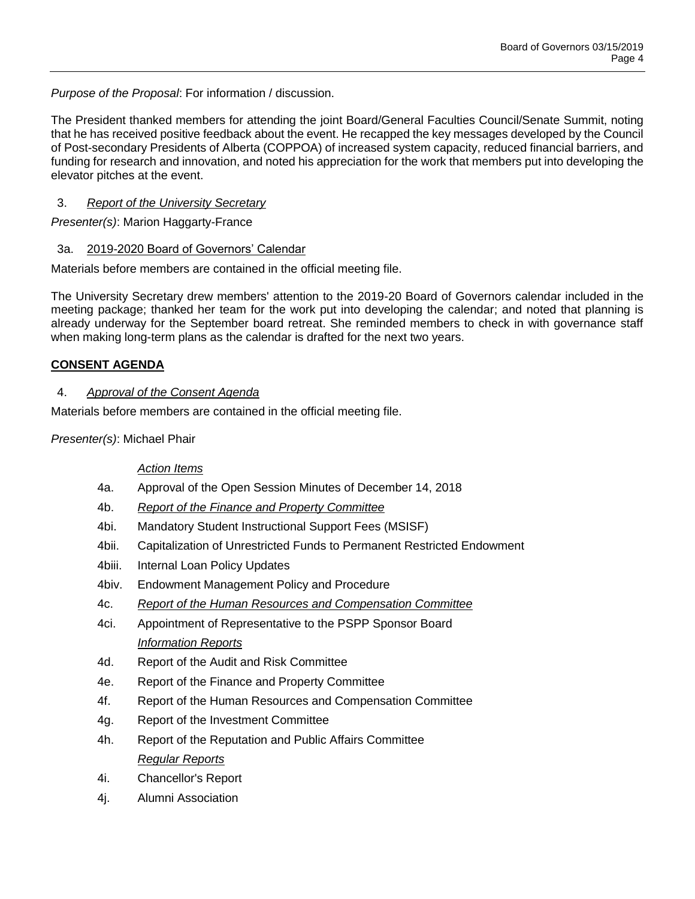*Purpose of the Proposal*: For information / discussion.

The President thanked members for attending the joint Board/General Faculties Council/Senate Summit, noting that he has received positive feedback about the event. He recapped the key messages developed by the Council of Post-secondary Presidents of Alberta (COPPOA) of increased system capacity, reduced financial barriers, and funding for research and innovation, and noted his appreciation for the work that members put into developing the elevator pitches at the event.

# 3. *Report of the University Secretary*

*Presenter(s)*: Marion Haggarty-France

# 3a. 2019-2020 Board of Governors' Calendar

Materials before members are contained in the official meeting file.

The University Secretary drew members' attention to the 2019-20 Board of Governors calendar included in the meeting package; thanked her team for the work put into developing the calendar; and noted that planning is already underway for the September board retreat. She reminded members to check in with governance staff when making long-term plans as the calendar is drafted for the next two years.

# **CONSENT AGENDA**

# 4. *Approval of the Consent Agenda*

Materials before members are contained in the official meeting file.

*Presenter(s)*: Michael Phair

## *Action Items*

- 4a. Approval of the Open Session Minutes of December 14, 2018
- 4b. *Report of the Finance and Property Committee*
- 4bi. Mandatory Student Instructional Support Fees (MSISF)
- 4bii. Capitalization of Unrestricted Funds to Permanent Restricted Endowment
- 4biii. Internal Loan Policy Updates
- 4biv. Endowment Management Policy and Procedure
- 4c. *Report of the Human Resources and Compensation Committee*
- 4ci. Appointment of Representative to the PSPP Sponsor Board *Information Reports*
- 4d. Report of the Audit and Risk Committee
- 4e. Report of the Finance and Property Committee
- 4f. Report of the Human Resources and Compensation Committee
- 4g. Report of the Investment Committee
- 4h. Report of the Reputation and Public Affairs Committee *Regular Reports*
- 4i. Chancellor's Report
- 4j. Alumni Association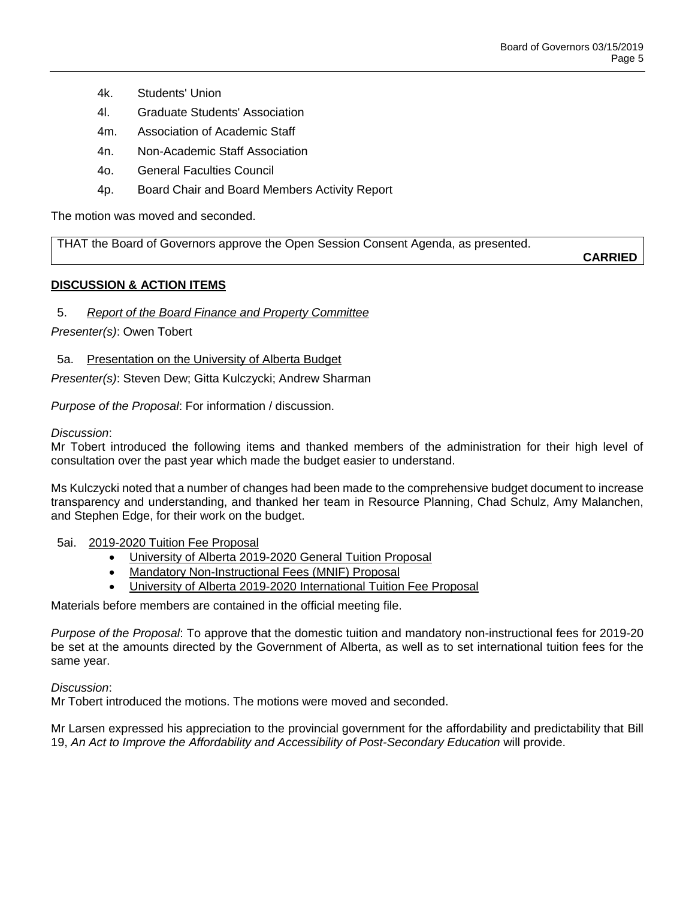- 4k. Students' Union
- 4l. Graduate Students' Association
- 4m. Association of Academic Staff
- 4n. Non-Academic Staff Association
- 4o. General Faculties Council
- 4p. Board Chair and Board Members Activity Report

The motion was moved and seconded.

THAT the Board of Governors approve the Open Session Consent Agenda, as presented.

**CARRIED**

# **DISCUSSION & ACTION ITEMS**

# 5. *Report of the Board Finance and Property Committee*

*Presenter(s)*: Owen Tobert

5a. Presentation on the University of Alberta Budget

*Presenter(s)*: Steven Dew; Gitta Kulczycki; Andrew Sharman

*Purpose of the Proposal*: For information / discussion.

## *Discussion*:

Mr Tobert introduced the following items and thanked members of the administration for their high level of consultation over the past year which made the budget easier to understand.

Ms Kulczycki noted that a number of changes had been made to the comprehensive budget document to increase transparency and understanding, and thanked her team in Resource Planning, Chad Schulz, Amy Malanchen, and Stephen Edge, for their work on the budget.

5ai. 2019-2020 Tuition Fee Proposal

- University of Alberta 2019-2020 General Tuition Proposal
- Mandatory Non-Instructional Fees (MNIF) Proposal
- University of Alberta 2019-2020 International Tuition Fee Proposal

Materials before members are contained in the official meeting file.

*Purpose of the Proposal*: To approve that the domestic tuition and mandatory non-instructional fees for 2019-20 be set at the amounts directed by the Government of Alberta, as well as to set international tuition fees for the same year.

*Discussion*:

Mr Tobert introduced the motions. The motions were moved and seconded.

Mr Larsen expressed his appreciation to the provincial government for the affordability and predictability that Bill 19, *An Act to Improve the Affordability and Accessibility of Post-Secondary Education* will provide.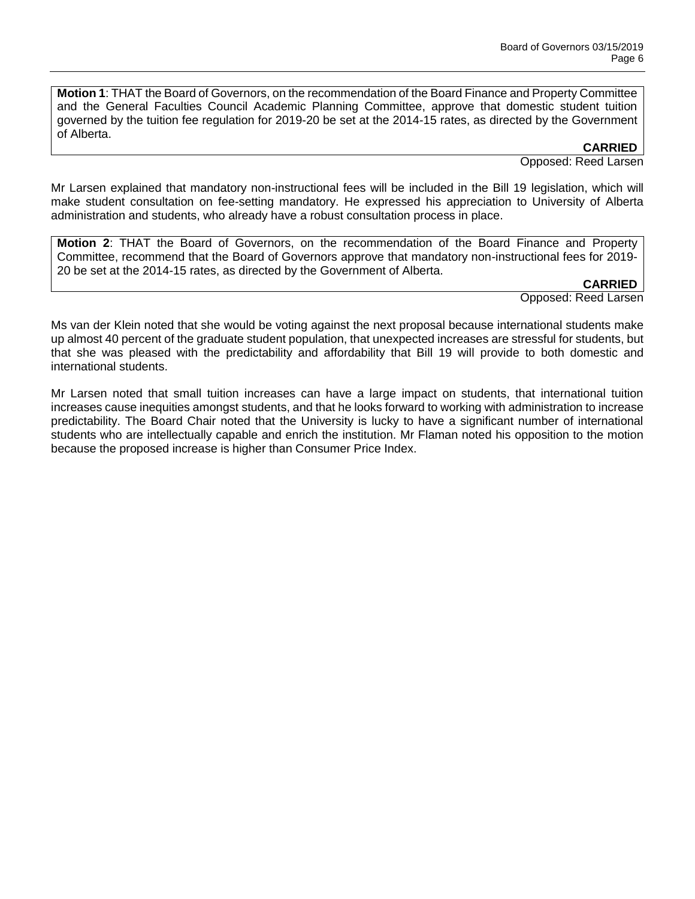**Motion 1**: THAT the Board of Governors, on the recommendation of the Board Finance and Property Committee and the General Faculties Council Academic Planning Committee, approve that domestic student tuition governed by the tuition fee regulation for 2019-20 be set at the 2014-15 rates, as directed by the Government of Alberta.

**CARRIED**

Opposed: Reed Larsen

Mr Larsen explained that mandatory non-instructional fees will be included in the Bill 19 legislation, which will make student consultation on fee-setting mandatory. He expressed his appreciation to University of Alberta administration and students, who already have a robust consultation process in place.

**Motion 2**: THAT the Board of Governors, on the recommendation of the Board Finance and Property Committee, recommend that the Board of Governors approve that mandatory non-instructional fees for 2019- 20 be set at the 2014-15 rates, as directed by the Government of Alberta.

#### **CARRIED**

Opposed: Reed Larsen

Ms van der Klein noted that she would be voting against the next proposal because international students make up almost 40 percent of the graduate student population, that unexpected increases are stressful for students, but that she was pleased with the predictability and affordability that Bill 19 will provide to both domestic and international students.

Mr Larsen noted that small tuition increases can have a large impact on students, that international tuition increases cause inequities amongst students, and that he looks forward to working with administration to increase predictability. The Board Chair noted that the University is lucky to have a significant number of international students who are intellectually capable and enrich the institution. Mr Flaman noted his opposition to the motion because the proposed increase is higher than Consumer Price Index.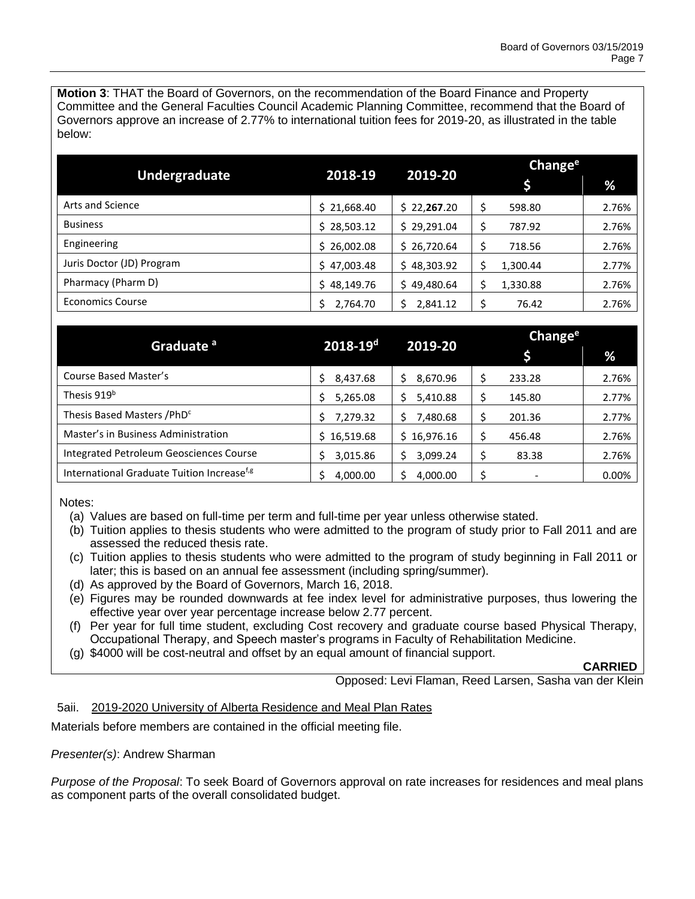**Motion 3**: THAT the Board of Governors, on the recommendation of the Board Finance and Property Committee and the General Faculties Council Academic Planning Committee, recommend that the Board of Governors approve an increase of 2.77% to international tuition fees for 2019-20, as illustrated in the table below:

|                           | 2018-19     | 2019-20     | Change <sup>e</sup> |          |       |
|---------------------------|-------------|-------------|---------------------|----------|-------|
| Undergraduate             |             |             |                     |          | %     |
| Arts and Science          | \$21,668.40 | \$22,267.20 |                     | 598.80   | 2.76% |
| <b>Business</b>           | \$28,503.12 | \$29,291.04 |                     | 787.92   | 2.76% |
| Engineering               | \$26,002.08 | \$26,720.64 |                     | 718.56   | 2.76% |
| Juris Doctor (JD) Program | \$47,003.48 | \$48,303.92 |                     | 1,300.44 | 2.77% |
| Pharmacy (Pharm D)        | \$48,149.76 | \$49,480.64 |                     | 1,330.88 | 2.76% |
| <b>Economics Course</b>   | 2,764.70    | 2,841.12    |                     | 76.42    | 2.76% |

|                                                        | $2018 - 19d$ | 2019-20     | Change <sup>e</sup> |        |       |
|--------------------------------------------------------|--------------|-------------|---------------------|--------|-------|
| Graduate <sup>a</sup>                                  |              |             |                     |        | %     |
| Course Based Master's                                  | 8,437.68     | 8,670.96    |                     | 233.28 | 2.76% |
| Thesis 919 <sup>b</sup>                                | 5,265.08     | 5,410.88    |                     | 145.80 | 2.77% |
| Thesis Based Masters / PhD <sup>c</sup>                | 7,279.32     | 7,480.68    |                     | 201.36 | 2.77% |
| Master's in Business Administration                    | \$16,519.68  | \$16,976.16 |                     | 456.48 | 2.76% |
| Integrated Petroleum Geosciences Course                | 3,015.86     | 3,099.24    |                     | 83.38  | 2.76% |
| International Graduate Tuition Increase <sup>f,g</sup> | 4,000.00     | 4,000.00    |                     |        | 0.00% |

Notes:

(a) Values are based on full-time per term and full-time per year unless otherwise stated.

- (b) Tuition applies to thesis students who were admitted to the program of study prior to Fall 2011 and are assessed the reduced thesis rate.
- (c) Tuition applies to thesis students who were admitted to the program of study beginning in Fall 2011 or later; this is based on an annual fee assessment (including spring/summer).
- (d) As approved by the Board of Governors, March 16, 2018.
- (e) Figures may be rounded downwards at fee index level for administrative purposes, thus lowering the effective year over year percentage increase below 2.77 percent.
- (f) Per year for full time student, excluding Cost recovery and graduate course based Physical Therapy, Occupational Therapy, and Speech master's programs in Faculty of Rehabilitation Medicine.
- (g) \$4000 will be cost-neutral and offset by an equal amount of financial support.

## **CARRIED**

Opposed: Levi Flaman, Reed Larsen, Sasha van der Klein

# 5aii. 2019-2020 University of Alberta Residence and Meal Plan Rates

Materials before members are contained in the official meeting file.

## *Presenter(s)*: Andrew Sharman

*Purpose of the Proposal*: To seek Board of Governors approval on rate increases for residences and meal plans as component parts of the overall consolidated budget.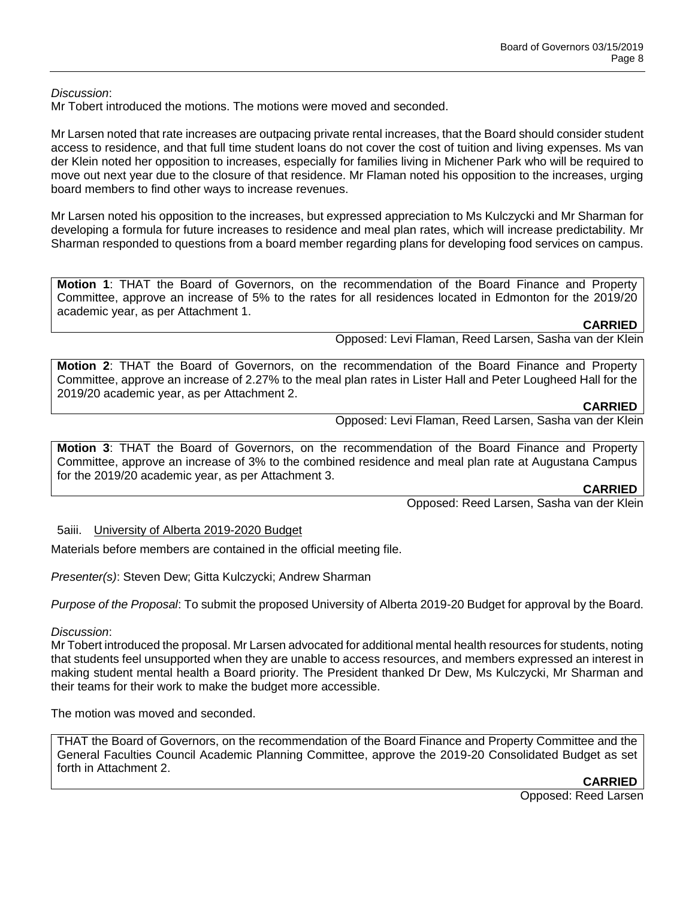*Discussion*:

Mr Tobert introduced the motions. The motions were moved and seconded.

Mr Larsen noted that rate increases are outpacing private rental increases, that the Board should consider student access to residence, and that full time student loans do not cover the cost of tuition and living expenses. Ms van der Klein noted her opposition to increases, especially for families living in Michener Park who will be required to move out next year due to the closure of that residence. Mr Flaman noted his opposition to the increases, urging board members to find other ways to increase revenues.

Mr Larsen noted his opposition to the increases, but expressed appreciation to Ms Kulczycki and Mr Sharman for developing a formula for future increases to residence and meal plan rates, which will increase predictability. Mr Sharman responded to questions from a board member regarding plans for developing food services on campus.

**Motion 1**: THAT the Board of Governors, on the recommendation of the Board Finance and Property Committee, approve an increase of 5% to the rates for all residences located in Edmonton for the 2019/20 academic year, as per Attachment 1.

## **CARRIED**

Opposed: Levi Flaman, Reed Larsen, Sasha van der Klein

**Motion 2**: THAT the Board of Governors, on the recommendation of the Board Finance and Property Committee, approve an increase of 2.27% to the meal plan rates in Lister Hall and Peter Lougheed Hall for the 2019/20 academic year, as per Attachment 2.

# **CARRIED**

Opposed: Levi Flaman, Reed Larsen, Sasha van der Klein

**Motion 3**: THAT the Board of Governors, on the recommendation of the Board Finance and Property Committee, approve an increase of 3% to the combined residence and meal plan rate at Augustana Campus for the 2019/20 academic year, as per Attachment 3.

#### **CARRIED**

Opposed: Reed Larsen, Sasha van der Klein

## 5aiii. University of Alberta 2019-2020 Budget

Materials before members are contained in the official meeting file.

*Presenter(s)*: Steven Dew; Gitta Kulczycki; Andrew Sharman

*Purpose of the Proposal*: To submit the proposed University of Alberta 2019-20 Budget for approval by the Board.

## *Discussion*:

Mr Tobert introduced the proposal. Mr Larsen advocated for additional mental health resources for students, noting that students feel unsupported when they are unable to access resources, and members expressed an interest in making student mental health a Board priority. The President thanked Dr Dew, Ms Kulczycki, Mr Sharman and their teams for their work to make the budget more accessible.

The motion was moved and seconded.

THAT the Board of Governors, on the recommendation of the Board Finance and Property Committee and the General Faculties Council Academic Planning Committee, approve the 2019-20 Consolidated Budget as set forth in Attachment 2.

**CARRIED**

Opposed: Reed Larsen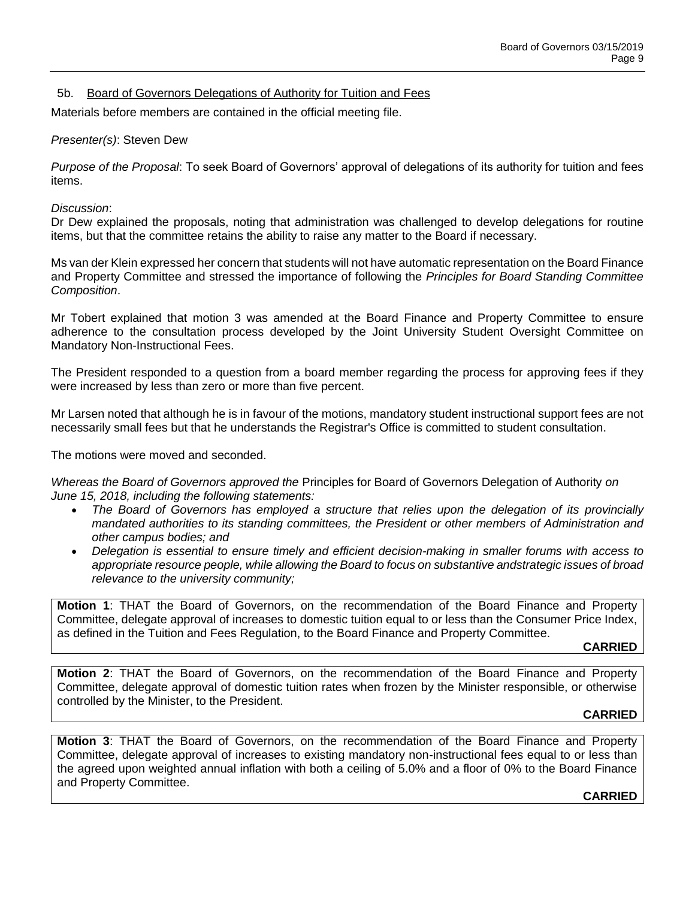## 5b. Board of Governors Delegations of Authority for Tuition and Fees

Materials before members are contained in the official meeting file.

#### *Presenter(s)*: Steven Dew

*Purpose of the Proposal*: To seek Board of Governors' approval of delegations of its authority for tuition and fees items.

#### *Discussion*:

Dr Dew explained the proposals, noting that administration was challenged to develop delegations for routine items, but that the committee retains the ability to raise any matter to the Board if necessary.

Ms van der Klein expressed her concern that students will not have automatic representation on the Board Finance and Property Committee and stressed the importance of following the *Principles for Board Standing Committee Composition*.

Mr Tobert explained that motion 3 was amended at the Board Finance and Property Committee to ensure adherence to the consultation process developed by the Joint University Student Oversight Committee on Mandatory Non-Instructional Fees.

The President responded to a question from a board member regarding the process for approving fees if they were increased by less than zero or more than five percent.

Mr Larsen noted that although he is in favour of the motions, mandatory student instructional support fees are not necessarily small fees but that he understands the Registrar's Office is committed to student consultation.

The motions were moved and seconded.

*Whereas the Board of Governors approved the* Principles for Board of Governors Delegation of Authority *on June 15, 2018, including the following statements:*

- *The Board of Governors has employed a structure that relies upon the delegation of its provincially mandated authorities to its standing committees, the President or other members of Administration and other campus bodies; and*
- *Delegation is essential to ensure timely and efficient decision-making in smaller forums with access to appropriate resource people, while allowing the Board to focus on substantive andstrategic issues of broad relevance to the university community;*

**Motion 1**: THAT the Board of Governors, on the recommendation of the Board Finance and Property Committee, delegate approval of increases to domestic tuition equal to or less than the Consumer Price Index, as defined in the Tuition and Fees Regulation, to the Board Finance and Property Committee.

#### **CARRIED**

**Motion 2**: THAT the Board of Governors, on the recommendation of the Board Finance and Property Committee, delegate approval of domestic tuition rates when frozen by the Minister responsible, or otherwise controlled by the Minister, to the President.

#### **CARRIED**

**Motion 3**: THAT the Board of Governors, on the recommendation of the Board Finance and Property Committee, delegate approval of increases to existing mandatory non-instructional fees equal to or less than the agreed upon weighted annual inflation with both a ceiling of 5.0% and a floor of 0% to the Board Finance and Property Committee.

#### **CARRIED**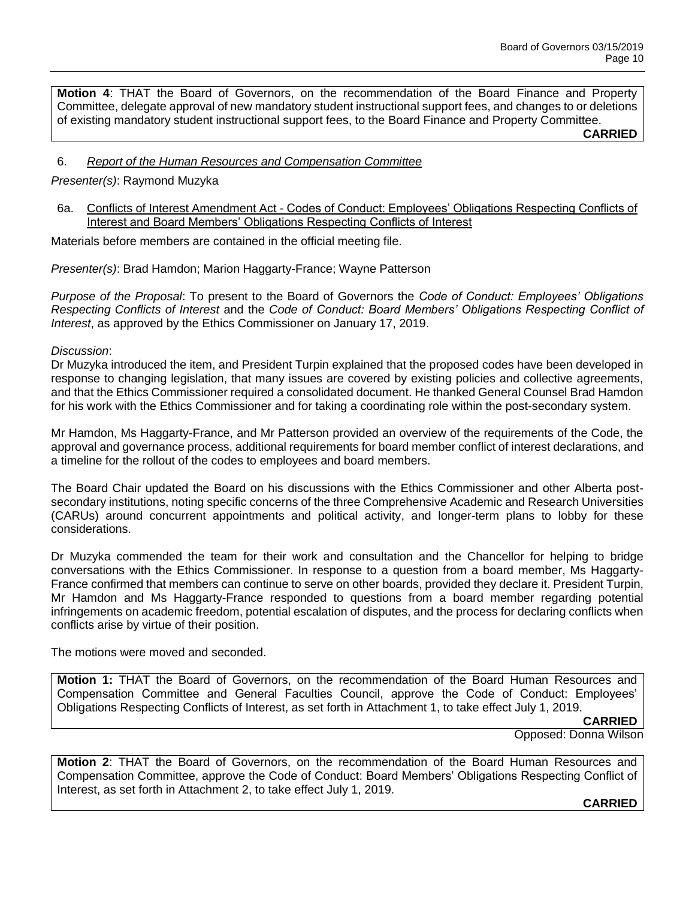**Motion 4**: THAT the Board of Governors, on the recommendation of the Board Finance and Property Committee, delegate approval of new mandatory student instructional support fees, and changes to or deletions of existing mandatory student instructional support fees, to the Board Finance and Property Committee.

**CARRIED**

## 6. *Report of the Human Resources and Compensation Committee*

## *Presenter(s)*: Raymond Muzyka

6a. Conflicts of Interest Amendment Act - Codes of Conduct: Employees' Obligations Respecting Conflicts of Interest and Board Members' Obligations Respecting Conflicts of Interest

Materials before members are contained in the official meeting file.

*Presenter(s)*: Brad Hamdon; Marion Haggarty-France; Wayne Patterson

*Purpose of the Proposal*: To present to the Board of Governors the *Code of Conduct: Employees' Obligations Respecting Conflicts of Interest* and the *Code of Conduct: Board Members' Obligations Respecting Conflict of Interest*, as approved by the Ethics Commissioner on January 17, 2019.

#### *Discussion*:

Dr Muzyka introduced the item, and President Turpin explained that the proposed codes have been developed in response to changing legislation, that many issues are covered by existing policies and collective agreements, and that the Ethics Commissioner required a consolidated document. He thanked General Counsel Brad Hamdon for his work with the Ethics Commissioner and for taking a coordinating role within the post-secondary system.

Mr Hamdon, Ms Haggarty-France, and Mr Patterson provided an overview of the requirements of the Code, the approval and governance process, additional requirements for board member conflict of interest declarations, and a timeline for the rollout of the codes to employees and board members.

The Board Chair updated the Board on his discussions with the Ethics Commissioner and other Alberta postsecondary institutions, noting specific concerns of the three Comprehensive Academic and Research Universities (CARUs) around concurrent appointments and political activity, and longer-term plans to lobby for these considerations.

Dr Muzyka commended the team for their work and consultation and the Chancellor for helping to bridge conversations with the Ethics Commissioner. In response to a question from a board member, Ms Haggarty-France confirmed that members can continue to serve on other boards, provided they declare it. President Turpin, Mr Hamdon and Ms Haggarty-France responded to questions from a board member regarding potential infringements on academic freedom, potential escalation of disputes, and the process for declaring conflicts when conflicts arise by virtue of their position.

The motions were moved and seconded.

**Motion 1:** THAT the Board of Governors, on the recommendation of the Board Human Resources and Compensation Committee and General Faculties Council, approve the Code of Conduct: Employees' Obligations Respecting Conflicts of Interest, as set forth in Attachment 1, to take effect July 1, 2019.

#### **CARRIED**

Opposed: Donna Wilson

**Motion 2**: THAT the Board of Governors, on the recommendation of the Board Human Resources and Compensation Committee, approve the Code of Conduct: Board Members' Obligations Respecting Conflict of Interest, as set forth in Attachment 2, to take effect July 1, 2019.

#### **CARRIED**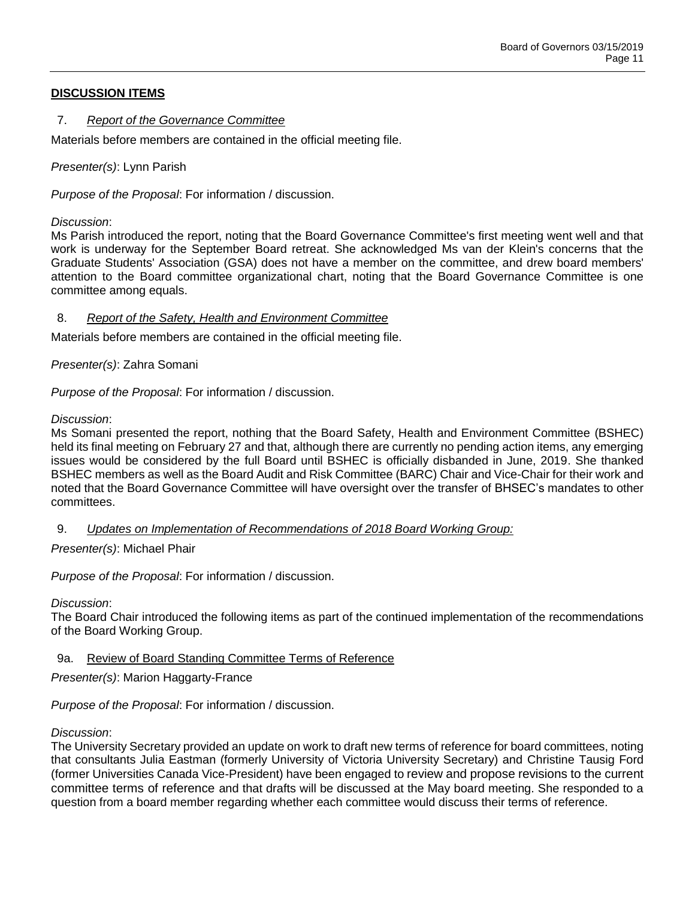# **DISCUSSION ITEMS**

## 7. *Report of the Governance Committee*

Materials before members are contained in the official meeting file.

*Presenter(s)*: Lynn Parish

*Purpose of the Proposal*: For information / discussion.

*Discussion*:

Ms Parish introduced the report, noting that the Board Governance Committee's first meeting went well and that work is underway for the September Board retreat. She acknowledged Ms van der Klein's concerns that the Graduate Students' Association (GSA) does not have a member on the committee, and drew board members' attention to the Board committee organizational chart, noting that the Board Governance Committee is one committee among equals.

## 8. *Report of the Safety, Health and Environment Committee*

Materials before members are contained in the official meeting file.

*Presenter(s)*: Zahra Somani

*Purpose of the Proposal*: For information / discussion.

*Discussion*:

Ms Somani presented the report, nothing that the Board Safety, Health and Environment Committee (BSHEC) held its final meeting on February 27 and that, although there are currently no pending action items, any emerging issues would be considered by the full Board until BSHEC is officially disbanded in June, 2019. She thanked BSHEC members as well as the Board Audit and Risk Committee (BARC) Chair and Vice-Chair for their work and noted that the Board Governance Committee will have oversight over the transfer of BHSEC's mandates to other committees.

9. *Updates on Implementation of Recommendations of 2018 Board Working Group:*

*Presenter(s)*: Michael Phair

*Purpose of the Proposal*: For information / discussion.

*Discussion*:

The Board Chair introduced the following items as part of the continued implementation of the recommendations of the Board Working Group.

## 9a. Review of Board Standing Committee Terms of Reference

*Presenter(s)*: Marion Haggarty-France

*Purpose of the Proposal*: For information / discussion.

## *Discussion*:

The University Secretary provided an update on work to draft new terms of reference for board committees, noting that consultants Julia Eastman (formerly University of Victoria University Secretary) and Christine Tausig Ford (former Universities Canada Vice-President) have been engaged to review and propose revisions to the current committee terms of reference and that drafts will be discussed at the May board meeting. She responded to a question from a board member regarding whether each committee would discuss their terms of reference.